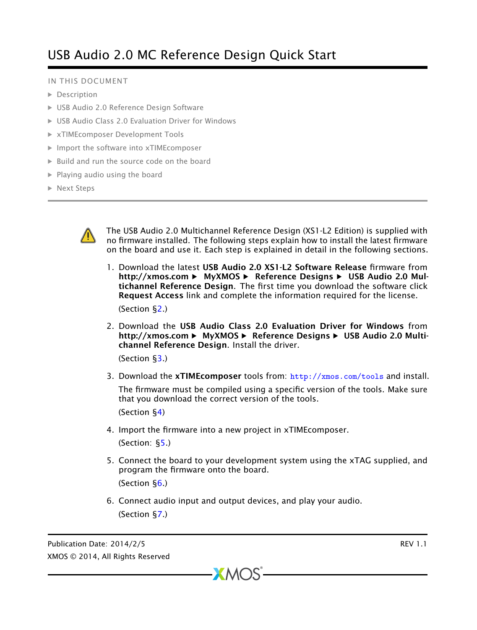# USB Audio 2.0 MC Reference Design Quick Start

#### IN THIS DOCUMENT

- **[Description](#page-1-0)**
- · [USB Audio 2.0 Reference Design Software](#page-3-0)
- · [USB Audio Class 2.0 Evaluation Driver for Windows](#page-3-1)
- · [xTIMEcomposer Development Tools](#page-4-0)
- · [Import the software into xTIMEcomposer](#page-4-1)
- · [Build and run the source code on the board](#page-4-2)
- $\blacktriangleright$  [Playing audio using the board](#page-5-0)
- · [Next Steps](#page-5-1)



The USB Audio 2.0 Multichannel Reference Design (XS1-L2 Edition) is supplied with no firmware installed. The following steps explain how to install the latest firmware on the board and use it. Each step is explained in detail in the following sections.

1. Download the latest USB Audio 2.0 XS1-L2 Software Release firmware from http://xmos.com ► MyXMOS ► Reference Designs ► USB Audio 2.0 Multichannel Reference Design. The first time you download the software click Request Access link and complete the information required for the license.

(Section [§2.](#page-3-0))

2. Download the USB Audio Class 2.0 Evaluation Driver for Windows from http://xmos.com ► MyXMOS ► Reference Designs ► USB Audio 2.0 Multichannel Reference Design. Install the driver.

(Section [§3.](#page-3-1))

3. Download the  $x$ TIMEcomposer tools from:  $\frac{http://xmos.com/tools}{}$  $\frac{http://xmos.com/tools}{}$  $\frac{http://xmos.com/tools}{}$  and install.

The firmware must be compiled using a specific version of the tools. Make sure that you download the correct version of the tools.

(Section [§4\)](#page-4-0)

4. Import the firmware into a new project in xTIMEcomposer.

(Section: [§5.](#page-4-1))

- 5. Connect the board to your development system using the xTAG supplied, and program the firmware onto the board. (Section [§6.](#page-4-2))
- 6. Connect audio input and output devices, and play your audio. (Section [§7.](#page-5-0))

 $XMOS$ 

Publication Date: 2014/2/5 REV 1.1 XMOS © 2014, All Rights Reserved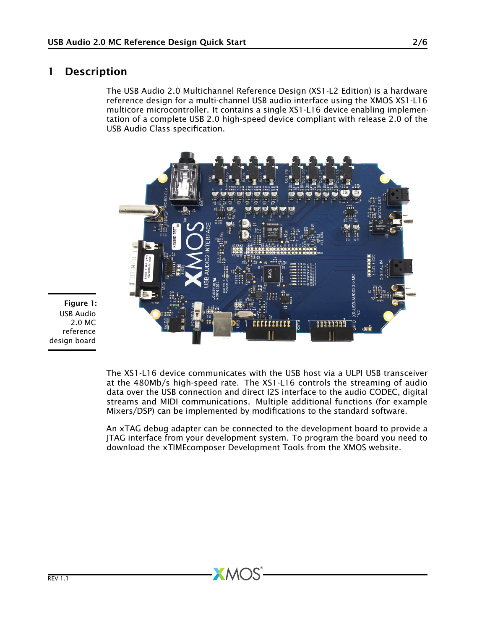# 1 Description

<span id="page-1-0"></span>The USB Audio 2.0 Multichannel Reference Design (XS1-L2 Edition) is a hardware reference design for a multi-channel USB audio interface using the XMOS XS1-L16 multicore microcontroller. It contains a single XS1-L16 device enabling implementation of a complete USB 2.0 high-speed device compliant with release 2.0 of the USB Audio Class specification.



Figure 1: USB Audio 2.0 MC reference design board

> The XS1-L16 device communicates with the USB host via a ULPI USB transceiver at the 480Mb/s high-speed rate. The XS1-L16 controls the streaming of audio data over the USB connection and direct I2S interface to the audio CODEC, digital streams and MIDI communications. Multiple additional functions (for example Mixers/DSP) can be implemented by modifications to the standard software.

> An xTAG debug adapter can be connected to the development board to provide a JTAG interface from your development system. To program the board you need to download the xTIMEcomposer Development Tools from the XMOS website.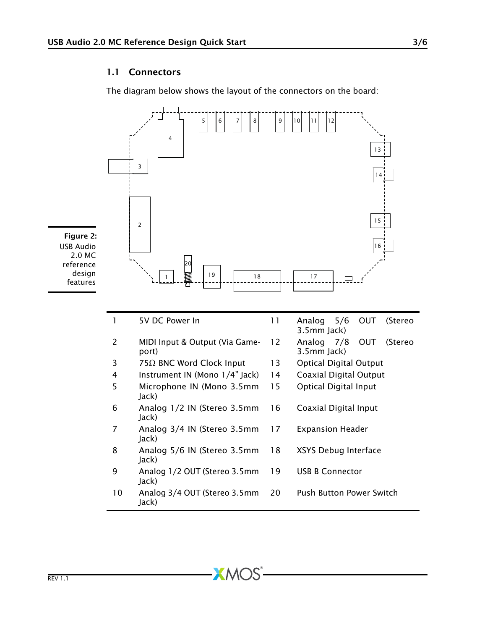#### 1.1 Connectors

The diagram below shows the layout of the connectors on the board:



 $X$ M $(S)$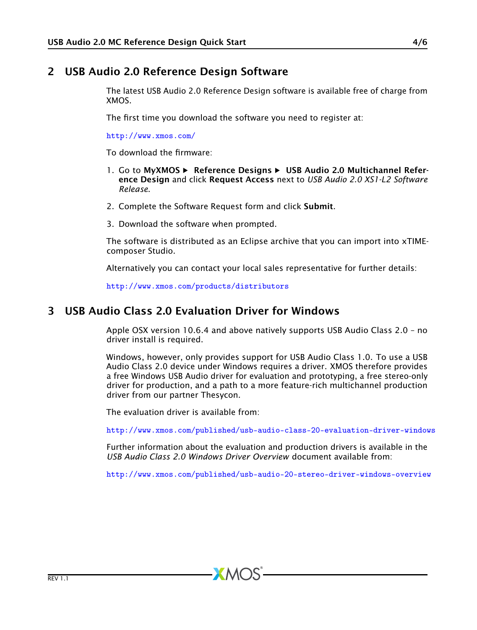# 2 USB Audio 2.0 Reference Design Software

<span id="page-3-0"></span>The latest USB Audio 2.0 Reference Design software is available free of charge from XMOS.

The first time you download the software you need to register at:

<http://www.xmos.com/>

To download the firmware:

- 1. Go to MyXMOS ► Reference Designs ► USB Audio 2.0 Multichannel Reference Design and click Request Access next to *USB Audio 2.0 XS1-L2 Software Release*.
- 2. Complete the Software Request form and click Submit.
- 3. Download the software when prompted.

The software is distributed as an Eclipse archive that you can import into xTIMEcomposer Studio.

Alternatively you can contact your local sales representative for further details:

<span id="page-3-1"></span><http://www.xmos.com/products/distributors>

# 3 USB Audio Class 2.0 Evaluation Driver for Windows

Apple OSX version 10.6.4 and above natively supports USB Audio Class 2.0 – no driver install is required.

Windows, however, only provides support for USB Audio Class 1.0. To use a USB Audio Class 2.0 device under Windows requires a driver. XMOS therefore provides a free Windows USB Audio driver for evaluation and prototyping, a free stereo-only driver for production, and a path to a more feature-rich multichannel production driver from our partner Thesycon.

The evaluation driver is available from:

<http://www.xmos.com/published/usb-audio-class-20-evaluation-driver-windows>

Further information about the evaluation and production drivers is available in the *USB Audio Class 2.0 Windows Driver Overview* document available from:

<http://www.xmos.com/published/usb-audio-20-stereo-driver-windows-overview>

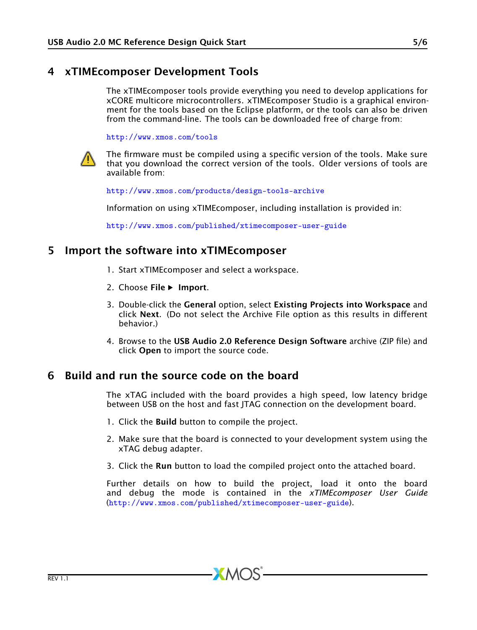### 4 xTIMEcomposer Development Tools

<span id="page-4-0"></span>The xTIMEcomposer tools provide everything you need to develop applications for xCORE multicore microcontrollers. xTIMEcomposer Studio is a graphical environment for the tools based on the Eclipse platform, or the tools can also be driven from the command-line. The tools can be downloaded free of charge from:

<http://www.xmos.com/tools>



The firmware must be compiled using a specific version of the tools. Make sure that you download the correct version of the tools. Older versions of tools are available from:

<http://www.xmos.com/products/design-tools-archive>

Information on using xTIMEcomposer, including installation is provided in:

<span id="page-4-1"></span><http://www.xmos.com/published/xtimecomposer-user-guide>

### 5 Import the software into xTIMEcomposer

- 1. Start xTIMEcomposer and select a workspace.
- 2. Choose File > Import.
- 3. Double-click the General option, select Existing Projects into Workspace and click Next. (Do not select the Archive File option as this results in different behavior.)
- <span id="page-4-2"></span>4. Browse to the USB Audio 2.0 Reference Design Software archive (ZIP file) and click Open to import the source code.

### 6 Build and run the source code on the board

The xTAG included with the board provides a high speed, low latency bridge between USB on the host and fast JTAG connection on the development board.

- 1. Click the **Build** button to compile the project.
- 2. Make sure that the board is connected to your development system using the xTAG debug adapter.
- 3. Click the Run button to load the compiled project onto the attached board.

 $XMOS$ 

Further details on how to build the project, load it onto the board and debug the mode is contained in the *xTIMEcomposer User Guide* (<http://www.xmos.com/published/xtimecomposer-user-guide>).